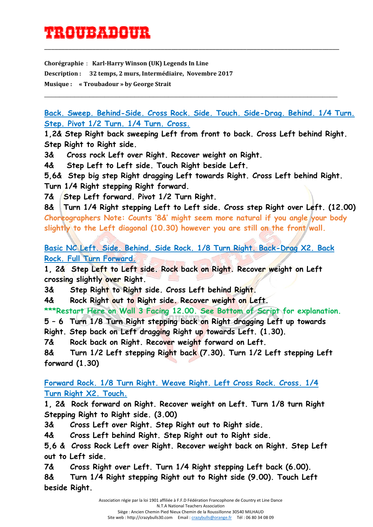## TROUB<del>AL 199</del>

**Chorégraphie** : **Karl-Harry Winson (UK) Legends In Line Description : 32 temps, 2 murs, Intermédiaire, Novembre 2017 Musique : « Troubadour » by George Strait**

**Back. Sweep. Behind-Side. Cross Rock. Side. Touch. Side-Drag. Behind. 1/4 Turn. Step. Pivot 1/2 Turn. 1/4 Turn. Cross.**

\_\_\_\_\_\_\_\_\_\_\_\_\_\_\_\_\_\_\_\_\_\_\_\_\_\_\_\_\_\_\_\_\_\_\_\_\_\_\_\_\_\_\_\_\_\_\_\_\_\_\_\_\_\_\_\_\_\_\_\_\_\_\_\_\_\_\_\_\_\_\_\_\_\_\_\_\_\_\_\_\_\_\_\_\_\_

\_\_\_\_\_\_\_\_\_\_\_\_\_\_\_\_\_\_\_\_\_\_\_\_\_\_\_\_\_\_\_\_\_\_\_\_\_\_\_\_\_\_\_\_\_\_\_\_\_\_\_\_\_\_\_\_\_\_\_\_\_\_\_\_\_\_\_\_\_\_\_\_\_\_\_\_\_\_

**1,2& Step Right back sweeping Left from front to back. Cross Left behind Right. Step Right to Right side.**

**3& Cross rock Left over Right. Recover weight on Right.**

**4& Step Left to Left side. Touch Right beside Left.**

**5,6& Step big step Right dragging Left towards Right. Cross Left behind Right. Turn 1/4 Right stepping Right forward.**

7& Step Left forward. Pivot 1/2 Turn Right.

**8& Turn 1/4 Right stepping Left to Left side. Cross step Right over Left. (12.00) Choreographers Note: Counts '8&' might seem more natural if you angle your body slightly to the Left diagonal (10.30) however you are still on the front wall.**

**Basic NC Left. Side. Behind. Side Rock. 1/8 Turn Right. Back-Drag X2. Back Rock. Full Turn Forward.**

**1, 2& Step Left to Left side. Rock back on Right. Recover weight on Left crossing slightly over Right.**

**3& Step Right to Right side. Cross Left behind Right.**

**4& Rock Right out to Right side. Recover weight on Left.**

**\*\*\*Restart Here on Wall 3 Facing 12.00. See Bottom of Script for explanation.**

**5 – 6 Turn 1/8 Turn Right stepping back on Right dragging Left up towards** 

**Right. Step back on Left dragging Right up towards Left. (1.30).**

**7& Rock back on Right. Recover weight forward on Left.**

**8& Turn 1/2 Left stepping Right back (7.30). Turn 1/2 Left stepping Left forward (1.30)**

**Forward Rock. 1/8 Turn Right. Weave Right. Left Cross Rock. Cross. 1/4 Turn Right X2. Touch.**

**1, 2& Rock forward on Right. Recover weight on Left. Turn 1/8 turn Right Stepping Right to Right side. (3.00)**

**3& Cross Left over Right. Step Right out to Right side.**

**4& Cross Left behind Right. Step Right out to Right side.**

**5,6 & Cross Rock Left over Right. Recover weight back on Right. Step Left out to Left side.**

**7& Cross Right over Left. Turn 1/4 Right stepping Left back (6.00).**

**8& Turn 1/4 Right stepping Right out to Right side (9.00). Touch Left beside Right.**